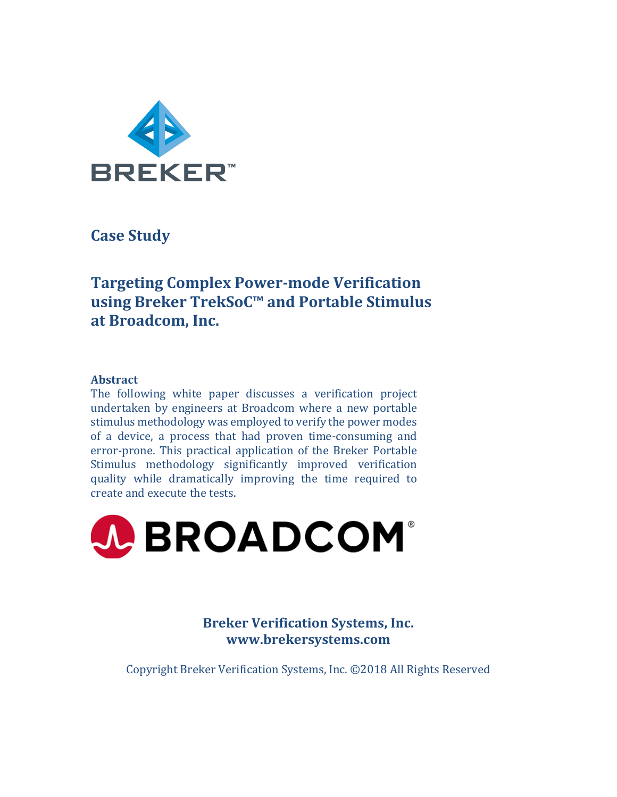

**Case Study**

# **Targeting Complex Power-mode Verification using Breker TrekSoC™ and Portable Stimulus** at Broadcom, Inc.

# **Abstract**

The following white paper discusses a verification project undertaken by engineers at Broadcom where a new portable stimulus methodology was employed to verify the power modes of a device, a process that had proven time-consuming and error-prone. This practical application of the Breker Portable Stimulus methodology significantly improved verification quality while dramatically improving the time required to create and execute the tests.



**Breker Verification Systems, Inc. www.brekersystems.com**

Copyright Breker Verification Systems, Inc. ©2018 All Rights Reserved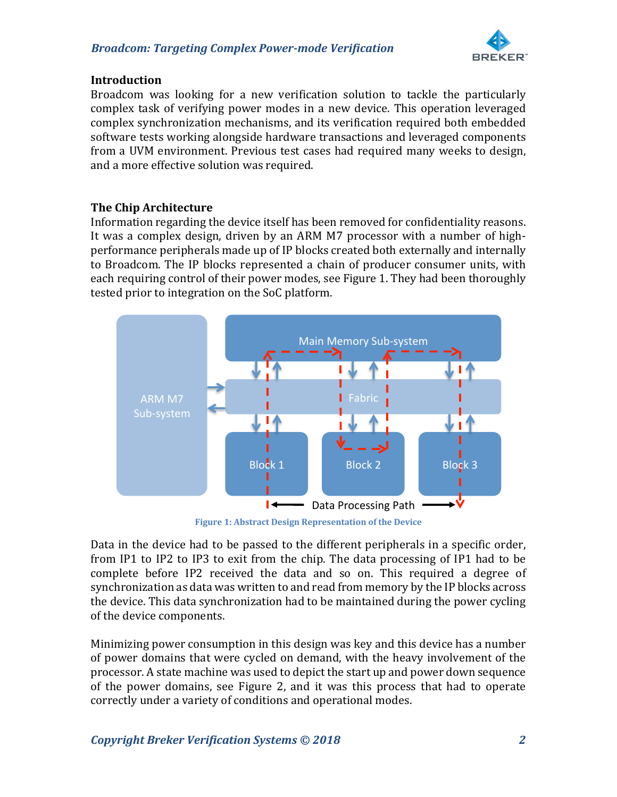## *Broadcom: Targeting Complex Power-mode Verification*



#### **Introduction**

Broadcom was looking for a new verification solution to tackle the particularly complex task of verifying power modes in a new device. This operation leveraged complex synchronization mechanisms, and its verification required both embedded software tests working alongside hardware transactions and leveraged components from a UVM environment. Previous test cases had required many weeks to design, and a more effective solution was required.

# **The Chip Architecture**

Information regarding the device itself has been removed for confidentiality reasons. It was a complex design, driven by an ARM M7 processor with a number of highperformance peripherals made up of IP blocks created both externally and internally to Broadcom. The IP blocks represented a chain of producer consumer units, with each requiring control of their power modes, see Figure 1. They had been thoroughly tested prior to integration on the SoC platform.



**Figure 1: Abstract Design Representation of the Device** 

Data in the device had to be passed to the different peripherals in a specific order, from IP1 to IP2 to IP3 to exit from the chip. The data processing of IP1 had to be complete before IP2 received the data and so on. This required a degree of synchronization as data was written to and read from memory by the IP blocks across the device. This data synchronization had to be maintained during the power cycling of the device components.

Minimizing power consumption in this design was key and this device has a number of power domains that were cycled on demand, with the heavy involvement of the processor. A state machine was used to depict the start up and power down sequence of the power domains, see Figure 2, and it was this process that had to operate correctly under a variety of conditions and operational modes.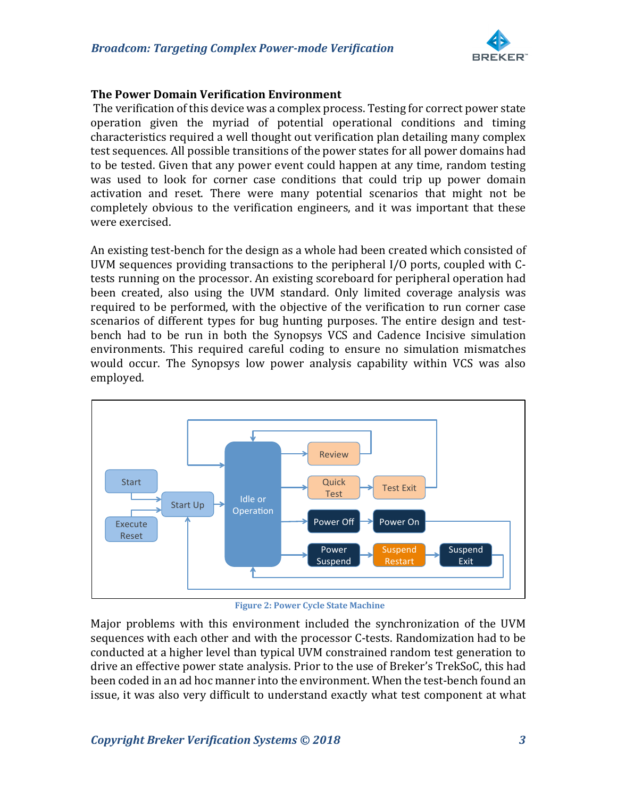

## **The Power Domain Verification Environment**

The verification of this device was a complex process. Testing for correct power state operation given the myriad of potential operational conditions and timing characteristics required a well thought out verification plan detailing many complex test sequences. All possible transitions of the power states for all power domains had to be tested. Given that any power event could happen at any time, random testing was used to look for corner case conditions that could trip up power domain activation and reset. There were many potential scenarios that might not be completely obvious to the verification engineers, and it was important that these were exercised.

An existing test-bench for the design as a whole had been created which consisted of UVM sequences providing transactions to the peripheral  $I/O$  ports, coupled with  $C$ tests running on the processor. An existing scoreboard for peripheral operation had been created, also using the UVM standard. Only limited coverage analysis was required to be performed, with the objective of the verification to run corner case scenarios of different types for bug hunting purposes. The entire design and testbench had to be run in both the Synopsys VCS and Cadence Incisive simulation environments. This required careful coding to ensure no simulation mismatches would occur. The Synopsys low power analysis capability within VCS was also employed.



**Figure 2: Power Cycle State Machine** 

Major problems with this environment included the synchronization of the UVM sequences with each other and with the processor C-tests. Randomization had to be conducted at a higher level than typical UVM constrained random test generation to drive an effective power state analysis. Prior to the use of Breker's TrekSoC, this had been coded in an ad hoc manner into the environment. When the test-bench found an issue, it was also very difficult to understand exactly what test component at what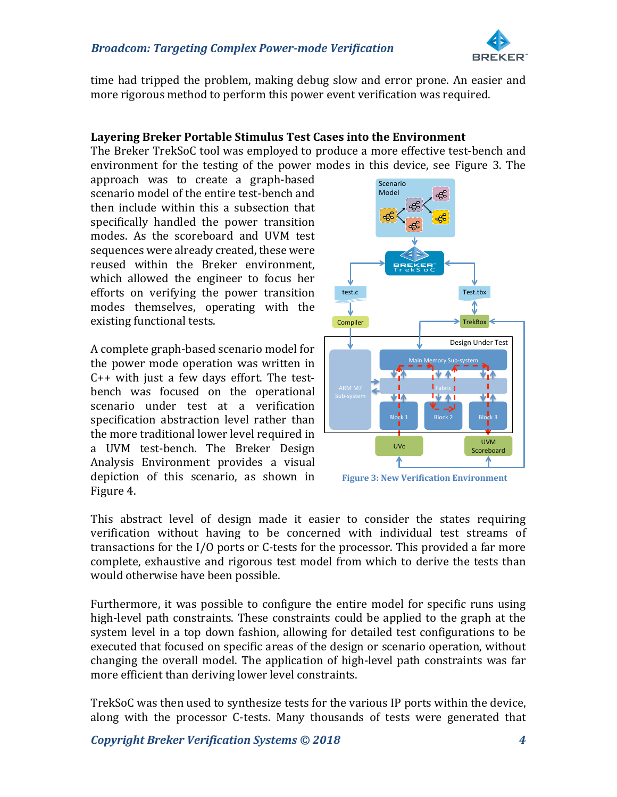

time had tripped the problem, making debug slow and error prone. An easier and more rigorous method to perform this power event verification was required.

#### Layering Breker Portable Stimulus Test Cases into the Environment

The Breker TrekSoC tool was employed to produce a more effective test-bench and environment for the testing of the power modes in this device, see Figure 3. The

approach was to create a graph-based scenario model of the entire test-bench and then include within this a subsection that specifically handled the power transition modes. As the scoreboard and UVM test sequences were already created, these were reused within the Breker environment, which allowed the engineer to focus her efforts on verifying the power transition modes themselves, operating with the existing functional tests.

A complete graph-based scenario model for the power mode operation was written in  $C++$  with just a few days effort. The testbench was focused on the operational scenario under test at a verification specification abstraction level rather than the more traditional lower level required in a UVM test-bench. The Breker Design Analysis Environment provides a visual depiction of this scenario, as shown in Figure 4.



**Figure 3: New Verification Environment** 

This abstract level of design made it easier to consider the states requiring verification without having to be concerned with individual test streams of transactions for the  $I/O$  ports or C-tests for the processor. This provided a far more complete, exhaustive and rigorous test model from which to derive the tests than would otherwise have been possible.

Furthermore, it was possible to configure the entire model for specific runs using high-level path constraints. These constraints could be applied to the graph at the system level in a top down fashion, allowing for detailed test configurations to be executed that focused on specific areas of the design or scenario operation, without changing the overall model. The application of high-level path constraints was far more efficient than deriving lower level constraints.

TrekSoC was then used to synthesize tests for the various IP ports within the device, along with the processor C-tests. Many thousands of tests were generated that

**Copyright Breker Verification Systems © 2018 1988 1988**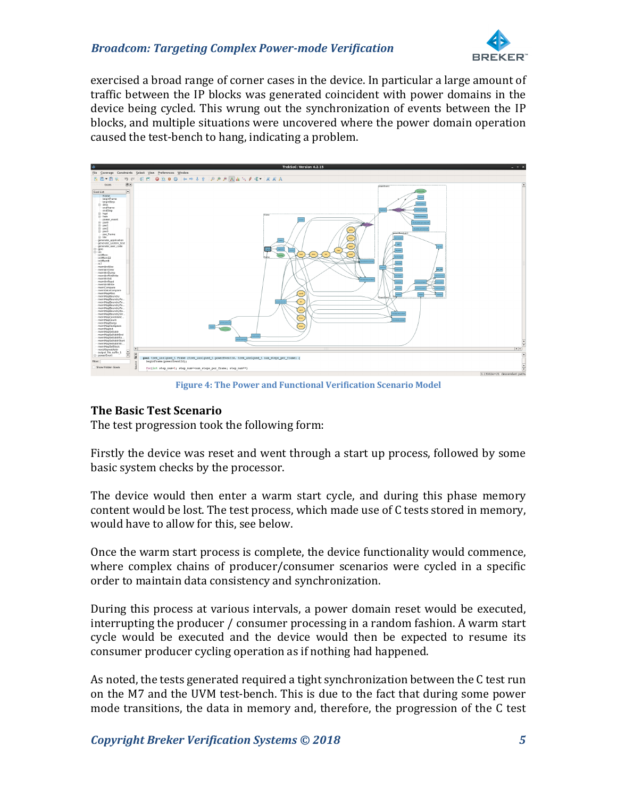## *Broadcom: Targeting Complex Power-mode Verification*



exercised a broad range of corner cases in the device. In particular a large amount of traffic between the IP blocks was generated coincident with power domains in the device being cycled. This wrung out the synchronization of events between the IP blocks, and multiple situations were uncovered where the power domain operation caused the test-bench to hang, indicating a problem.



**Figure 4: The Power and Functional Verification Scenario Model** 

# **The Basic Test Scenario**

The test progression took the following form:

Firstly the device was reset and went through a start up process, followed by some basic system checks by the processor.

The device would then enter a warm start cycle, and during this phase memory content would be lost. The test process, which made use of C tests stored in memory, would have to allow for this, see below.

Once the warm start process is complete, the device functionality would commence, where complex chains of producer/consumer scenarios were cycled in a specific order to maintain data consistency and synchronization.

During this process at various intervals, a power domain reset would be executed, interrupting the producer / consumer processing in a random fashion. A warm start cycle would be executed and the device would then be expected to resume its consumer producer cycling operation as if nothing had happened.

As noted, the tests generated required a tight synchronization between the C test run on the M7 and the UVM test-bench. This is due to the fact that during some power mode transitions, the data in memory and, therefore, the progression of the C test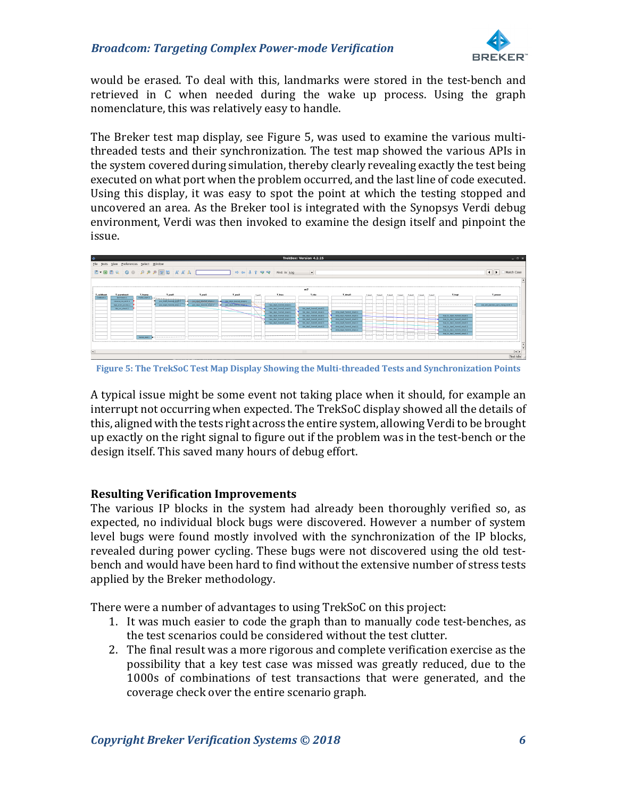

would be erased. To deal with this, landmarks were stored in the test-bench and retrieved in C when needed during the wake up process. Using the graph nomenclature, this was relatively easy to handle.

The Breker test map display, see Figure 5, was used to examine the various multithreaded tests and their synchronization. The test map showed the various APIs in the system covered during simulation, thereby clearly revealing exactly the test being executed on what port when the problem occurred, and the last line of code executed. Using this display, it was easy to spot the point at which the testing stopped and uncovered an area. As the Breker tool is integrated with the Synopsys Verdi debug environment, Verdi was then invoked to examine the design itself and pinpoint the issue.



**Figure 5: The TrekSoC Test Map Display Showing the Multi-threaded Tests and Synchronization Points** 

A typical issue might be some event not taking place when it should, for example an interrupt not occurring when expected. The TrekSoC display showed all the details of this, aligned with the tests right across the entire system, allowing Verdi to be brought up exactly on the right signal to figure out if the problem was in the test-bench or the design itself. This saved many hours of debug effort.

# **Resulting Verification Improvements**

The various IP blocks in the system had already been thoroughly verified so, as expected, no individual block bugs were discovered. However a number of system level bugs were found mostly involved with the synchronization of the IP blocks, revealed during power cycling. These bugs were not discovered using the old testbench and would have been hard to find without the extensive number of stress tests applied by the Breker methodology.

There were a number of advantages to using TrekSoC on this project:

- 1. It was much easier to code the graph than to manually code test-benches, as the test scenarios could be considered without the test clutter.
- 2. The final result was a more rigorous and complete verification exercise as the possibility that a key test case was missed was greatly reduced, due to the 1000s of combinations of test transactions that were generated, and the coverage check over the entire scenario graph.